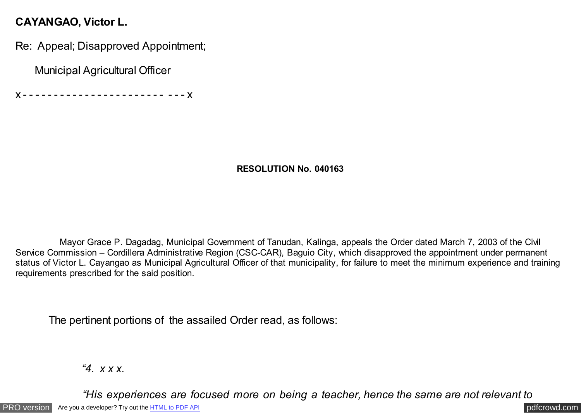## **CAYANGAO, Victor L.**

Re: Appeal; Disapproved Appointment;

Municipal Agricultural Officer

x - - - - - - - - - - - - - - - - - - - - - - - - - - x

## **RESOLUTION No. 040163**

 Mayor Grace P. Dagadag, Municipal Government of Tanudan, Kalinga, appeals the Order dated March 7, 2003 of the Civil Service Commission – Cordillera Administrative Region (CSC-CAR), Baguio City, which disapproved the appointment under permanent status of Victor L. Cayangao as Municipal Agricultural Officer of that municipality, for failure to meet the minimum experience and training requirements prescribed for the said position.

The pertinent portions of the assailed Order read, as follows:

*"4. x x x.*

 *"His experiences are focused more on being a teacher, hence the same are not relevant to*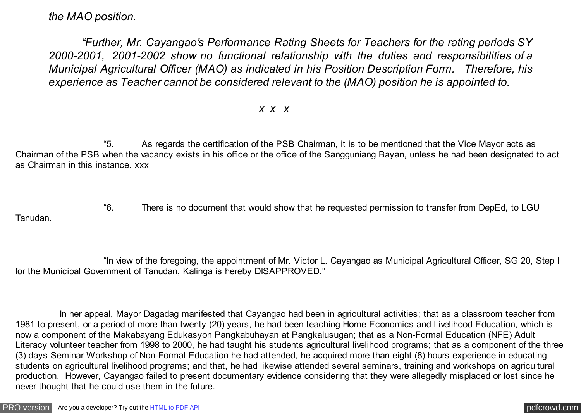*the MAO position.*

 *"Further, Mr. Cayangao's Performance Rating Sheets for Teachers for the rating periods SY 2000-2001, 2001-2002 show no functional relationship with the duties and responsibilities of a Municipal Agricultural Officer (MAO) as indicated in his Position Description Form. Therefore, his experience as Teacher cannot be considered relevant to the (MAO) position he is appointed to.*

## *x x x*

 "5. As regards the certification of the PSB Chairman, it is to be mentioned that the Vice Mayor acts as Chairman of the PSB when the vacancy exists in his office or the office of the Sangguniang Bayan, unless he had been designated to act as Chairman in this instance. xxx

 "6. There is no document that would show that he requested permission to transfer from DepEd, to LGU Tanudan.

 "In view of the foregoing, the appointment of Mr. Victor L. Cayangao as Municipal Agricultural Officer, SG 20, Step I for the Municipal Government of Tanudan, Kalinga is hereby DISAPPROVED."

 In her appeal, Mayor Dagadag manifested that Cayangao had been in agricultural activities; that as a classroom teacher from 1981 to present, or a period of more than twenty (20) years, he had been teaching Home Economics and Livelihood Education, which is now a component of the Makabayang Edukasyon Pangkabuhayan at Pangkalusugan; that as a Non-Formal Education (NFE) Adult Literacy volunteer teacher from 1998 to 2000, he had taught his students agricultural livelihood programs; that as a component of the three (3) days Seminar Workshop of Non-Formal Education he had attended, he acquired more than eight (8) hours experience in educating students on agricultural livelihood programs; and that, he had likewise attended several seminars, training and workshops on agricultural production. However, Cayangao failed to present documentary evidence considering that they were allegedly misplaced or lost since he never thought that he could use them in the future.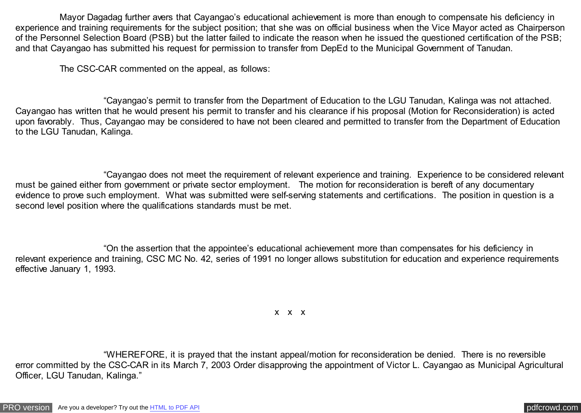Mayor Dagadag further avers that Cayangao's educational achievement is more than enough to compensate his deficiency in experience and training requirements for the subject position; that she was on official business when the Vice Mayor acted as Chairperson of the Personnel Selection Board (PSB) but the latter failed to indicate the reason when he issued the questioned certification of the PSB; and that Cayangao has submitted his request for permission to transfer from DepEd to the Municipal Government of Tanudan.

The CSC-CAR commented on the appeal, as follows:

 "Cayangao's permit to transfer from the Department of Education to the LGU Tanudan, Kalinga was not attached. Cayangao has written that he would present his permit to transfer and his clearance if his proposal (Motion for Reconsideration) is acted upon favorably. Thus, Cayangao may be considered to have not been cleared and permitted to transfer from the Department of Education to the LGU Tanudan, Kalinga.

 "Cayangao does not meet the requirement of relevant experience and training. Experience to be considered relevant must be gained either from government or private sector employment. The motion for reconsideration is bereft of any documentary evidence to prove such employment. What was submitted were self-serving statements and certifications. The position in question is a second level position where the qualifications standards must be met.

 "On the assertion that the appointee's educational achievement more than compensates for his deficiency in relevant experience and training, CSC MC No. 42, series of 1991 no longer allows substitution for education and experience requirements effective January 1, 1993.

x x x

 "WHEREFORE, it is prayed that the instant appeal/motion for reconsideration be denied. There is no reversible error committed by the CSC-CAR in its March 7, 2003 Order disapproving the appointment of Victor L. Cayangao as Municipal Agricultural Officer, LGU Tanudan, Kalinga."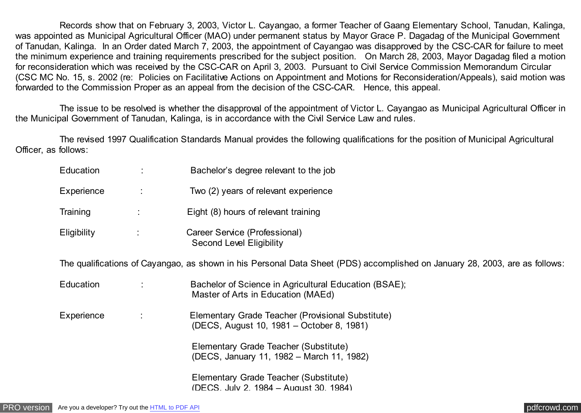Records show that on February 3, 2003, Victor L. Cayangao, a former Teacher of Gaang Elementary School, Tanudan, Kalinga, was appointed as Municipal Agricultural Officer (MAO) under permanent status by Mayor Grace P. Dagadag of the Municipal Government of Tanudan, Kalinga. In an Order dated March 7, 2003, the appointment of Cayangao was disapproved by the CSC-CAR for failure to meet the minimum experience and training requirements prescribed for the subject position. On March 28, 2003, Mayor Dagadag filed a motion for reconsideration which was received by the CSC-CAR on April 3, 2003. Pursuant to Civil Service Commission Memorandum Circular (CSC MC No. 15, s. 2002 (re: Policies on Facilitative Actions on Appointment and Motions for Reconsideration/Appeals), said motion was forwarded to the Commission Proper as an appeal from the decision of the CSC-CAR. Hence, this appeal.

 The issue to be resolved is whether the disapproval of the appointment of Victor L. Cayangao as Municipal Agricultural Officer in the Municipal Government of Tanudan, Kalinga, is in accordance with the Civil Service Law and rules.

 The revised 1997 Qualification Standards Manual provides the following qualifications for the position of Municipal Agricultural Officer, as follows:

| Education          | $\sim 10$       | Bachelor's degree relevant to the job                                                                                       |
|--------------------|-----------------|-----------------------------------------------------------------------------------------------------------------------------|
| Experience         | $\sim$ 1 $\sim$ | Two (2) years of relevant experience                                                                                        |
| Training           | ÷               | Eight (8) hours of relevant training                                                                                        |
| <b>Eligibility</b> |                 | Career Service (Professional)<br><b>Second Level Eligibility</b>                                                            |
|                    |                 | The qualifications of Cayangao, as shown in his Personal Data Sheet (PDS) accomplished on January 28, 2003, are as follows: |
| Education          | ÷               | Bachelor of Science in Agricultural Education (BSAE);<br>Master of Arts in Education (MAEd)                                 |
| Experience         | $\sim 10$       | Elementary Grade Teacher (Provisional Substitute)<br>(DECS, August 10, 1981 – October 8, 1981)                              |
|                    |                 | Elementary Grade Teacher (Substitute)<br>(DECS, January 11, 1982 – March 11, 1982)                                          |
|                    |                 | Elementary Grade Teacher (Substitute)<br>(DECS, July 2, 1984 – August 30, 1984)                                             |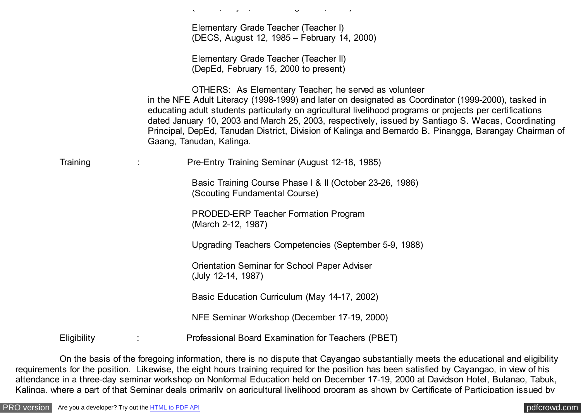|             | ار المناسب الإنتاجية من التي المناسب المناسب المناسب المناسب المناسب المناسب المناسب المناسب المناسب المناسب ا                                                                                                                                                                                                                                                                                                                                                                                                       |
|-------------|----------------------------------------------------------------------------------------------------------------------------------------------------------------------------------------------------------------------------------------------------------------------------------------------------------------------------------------------------------------------------------------------------------------------------------------------------------------------------------------------------------------------|
|             | Elementary Grade Teacher (Teacher I)<br>(DECS, August 12, 1985 – February 14, 2000)                                                                                                                                                                                                                                                                                                                                                                                                                                  |
|             | Elementary Grade Teacher (Teacher II)<br>(DepEd, February 15, 2000 to present)                                                                                                                                                                                                                                                                                                                                                                                                                                       |
|             | OTHERS: As Elementary Teacher; he served as volunteer<br>in the NFE Adult Literacy (1998-1999) and later on designated as Coordinator (1999-2000), tasked in<br>educating adult students particularly on agricultural livelihood programs or projects per certifications<br>dated January 10, 2003 and March 25, 2003, respectively, issued by Santiago S. Wacas, Coordinating<br>Principal, DepEd, Tanudan District, Division of Kalinga and Bernardo B. Pinangga, Barangay Chairman of<br>Gaang, Tanudan, Kalinga. |
| Training    | Pre-Entry Training Seminar (August 12-18, 1985)<br>$\ddot{\phantom{a}}$                                                                                                                                                                                                                                                                                                                                                                                                                                              |
|             | Basic Training Course Phase   & II (October 23-26, 1986)<br>(Scouting Fundamental Course)                                                                                                                                                                                                                                                                                                                                                                                                                            |
|             | <b>PRODED-ERP Teacher Formation Program</b><br>(March 2-12, 1987)                                                                                                                                                                                                                                                                                                                                                                                                                                                    |
|             | Upgrading Teachers Competencies (September 5-9, 1988)                                                                                                                                                                                                                                                                                                                                                                                                                                                                |
|             | <b>Orientation Seminar for School Paper Adviser</b><br>(July 12-14, 1987)                                                                                                                                                                                                                                                                                                                                                                                                                                            |
|             | Basic Education Curriculum (May 14-17, 2002)                                                                                                                                                                                                                                                                                                                                                                                                                                                                         |
|             | NFE Seminar Workshop (December 17-19, 2000)                                                                                                                                                                                                                                                                                                                                                                                                                                                                          |
| Eligibility | Professional Board Examination for Teachers (PBET)                                                                                                                                                                                                                                                                                                                                                                                                                                                                   |

 On the basis of the foregoing information, there is no dispute that Cayangao substantially meets the educational and eligibility requirements for the position. Likewise, the eight hours training required for the position has been satisfied by Cayangao, in view of his attendance in a three-day seminar workshop on Nonformal Education held on December 17-19, 2000 at Davidson Hotel, Bulanao, Tabuk, Kalinga, where a part of that Seminar deals primarily on agricultural livelihood program as shown by Certificate of Participation issued by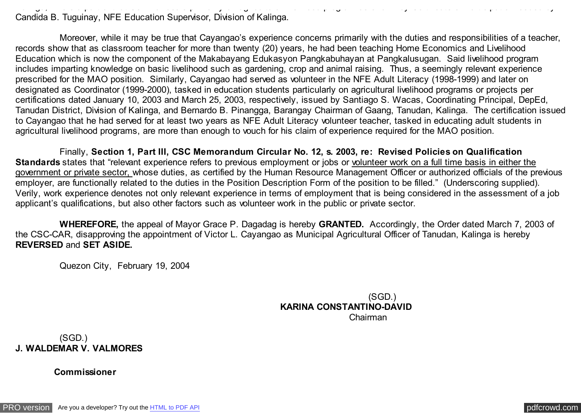Kalinga, where a part of that Seminar deals primarily on agricultural livelihood program as shown by Certificate of Participation issued by Candida B. Tuguinay, NFE Education Supervisor, Division of Kalinga.

 Moreover, while it may be true that Cayangao's experience concerns primarily with the duties and responsibilities of a teacher, records show that as classroom teacher for more than twenty (20) years, he had been teaching Home Economics and Livelihood Education which is now the component of the Makabayang Edukasyon Pangkabuhayan at Pangkalusugan. Said livelihood program includes imparting knowledge on basic livelihood such as gardening, crop and animal raising. Thus, a seemingly relevant experience prescribed for the MAO position. Similarly, Cayangao had served as volunteer in the NFE Adult Literacy (1998-1999) and later on designated as Coordinator (1999-2000), tasked in education students particularly on agricultural livelihood programs or projects per certifications dated January 10, 2003 and March 25, 2003, respectively, issued by Santiago S. Wacas, Coordinating Principal, DepEd, Tanudan District, Division of Kalinga, and Bernardo B. Pinangga, Barangay Chairman of Gaang, Tanudan, Kalinga. The certification issued to Cayangao that he had served for at least two years as NFE Adult Literacy volunteer teacher, tasked in educating adult students in agricultural livelihood programs, are more than enough to vouch for his claim of experience required for the MAO position.

 Finally, **Section 1, Part III, CSC Memorandum Circular No. 12, s. 2003, re: Revised Policies on Qualification Standards** states that "relevant experience refers to previous employment or jobs or volunteer work on a full time basis in either the government or private sector, whose duties, as certified by the Human Resource Management Officer or authorized officials of the previous employer, are functionally related to the duties in the Position Description Form of the position to be filled." (Underscoring supplied). Verily, work experience denotes not only relevant experience in terms of employment that is being considered in the assessment of a job applicant's qualifications, but also other factors such as volunteer work in the public or private sector.

 **WHEREFORE,** the appeal of Mayor Grace P. Dagadag is hereby **GRANTED.** Accordingly, the Order dated March 7, 2003 of the CSC-CAR, disapproving the appointment of Victor L. Cayangao as Municipal Agricultural Officer of Tanudan, Kalinga is hereby **REVERSED** and **SET ASIDE.**

Quezon City, February 19, 2004

 (SGD.) **KARINA CONSTANTINO-DAVID** Chairman

 (SGD.) **J. WALDEMAR V. VALMORES**

 **Commissioner**